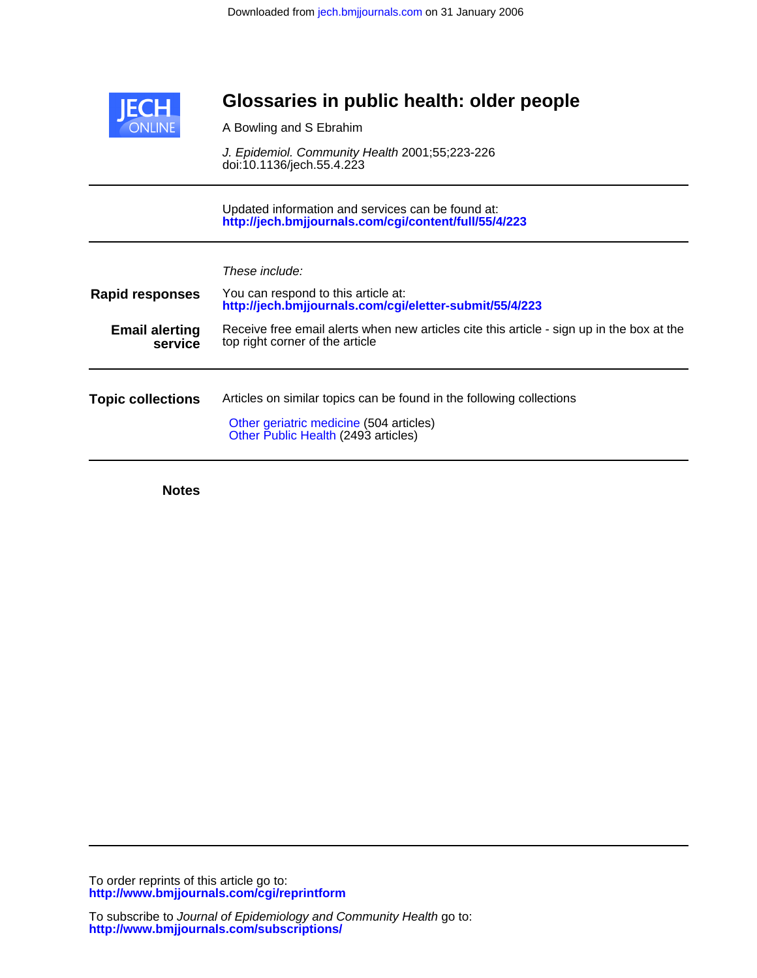

## **Glossaries in public health: older people**

A Bowling and S Ebrahim

doi:10.1136/jech.55.4.223 J. Epidemiol. Community Health 2001;55;223-226

**<http://jech.bmjjournals.com/cgi/content/full/55/4/223>** Updated information and services can be found at:

### These include:

| <b>Rapid responses</b>           | You can respond to this article at:<br>http://jech.bmjjournals.com/cgi/eletter-submit/55/4/223                                                         |
|----------------------------------|--------------------------------------------------------------------------------------------------------------------------------------------------------|
| <b>Email alerting</b><br>service | Receive free email alerts when new articles cite this article - sign up in the box at the<br>top right corner of the article                           |
| <b>Topic collections</b>         | Articles on similar topics can be found in the following collections<br>Other geriatric medicine (504 articles)<br>Other Public Health (2493 articles) |

**Notes**

**<http://www.bmjjournals.com/cgi/reprintform>** To order reprints of this article go to: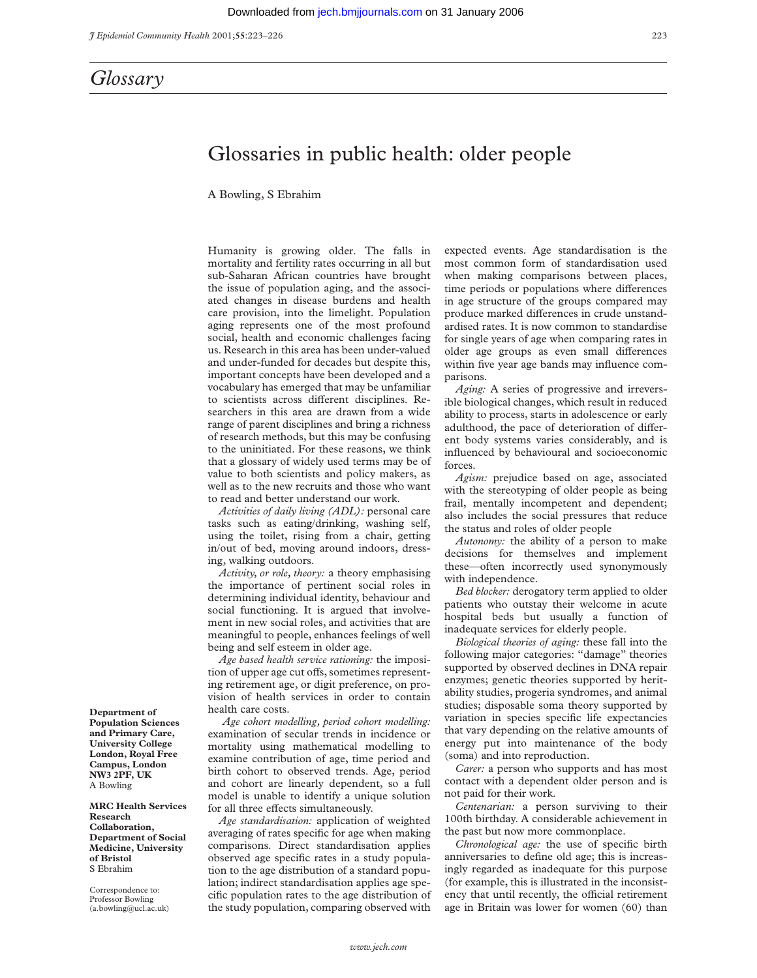## *Glossary*

# Glossaries in public health: older people

A Bowling, S Ebrahim

Humanity is growing older. The falls in mortality and fertility rates occurring in all but sub-Saharan African countries have brought the issue of population aging, and the associated changes in disease burdens and health care provision, into the limelight. Population aging represents one of the most profound social, health and economic challenges facing us. Research in this area has been under-valued and under-funded for decades but despite this, important concepts have been developed and a vocabulary has emerged that may be unfamiliar to scientists across different disciplines. Researchers in this area are drawn from a wide range of parent disciplines and bring a richness of research methods, but this may be confusing to the uninitiated. For these reasons, we think that a glossary of widely used terms may be of value to both scientists and policy makers, as well as to the new recruits and those who want to read and better understand our work.

*Activities of daily living (ADL):* personal care tasks such as eating/drinking, washing self, using the toilet, rising from a chair, getting in/out of bed, moving around indoors, dressing, walking outdoors.

*Activity, or role, theory:* a theory emphasising the importance of pertinent social roles in determining individual identity, behaviour and social functioning. It is argued that involvement in new social roles, and activities that are meaningful to people, enhances feelings of well being and self esteem in older age.

*Age based health service rationing:* the imposition of upper age cut offs, sometimes representing retirement age, or digit preference, on provision of health services in order to contain health care costs.

*Age cohort modelling, period cohort modelling:* examination of secular trends in incidence or mortality using mathematical modelling to examine contribution of age, time period and birth cohort to observed trends. Age, period and cohort are linearly dependent, so a full model is unable to identify a unique solution for all three effects simultaneously.

*Age standardisation:* application of weighted averaging of rates specific for age when making comparisons. Direct standardisation applies observed age specific rates in a study population to the age distribution of a standard population; indirect standardisation applies age specific population rates to the age distribution of the study population, comparing observed with

expected events. Age standardisation is the most common form of standardisation used when making comparisons between places, time periods or populations where differences in age structure of the groups compared may produce marked differences in crude unstandardised rates. It is now common to standardise for single years of age when comparing rates in older age groups as even small differences within five year age bands may influence comparisons.

*Aging:* A series of progressive and irreversible biological changes, which result in reduced ability to process, starts in adolescence or early adulthood, the pace of deterioration of different body systems varies considerably, and is influenced by behavioural and socioeconomic forces.

*Agism:* prejudice based on age, associated with the stereotyping of older people as being frail, mentally incompetent and dependent; also includes the social pressures that reduce the status and roles of older people

*Autonomy:* the ability of a person to make decisions for themselves and implement these—often incorrectly used synonymously with independence.

*Bed blocker:* derogatory term applied to older patients who outstay their welcome in acute hospital beds but usually a function of inadequate services for elderly people.

*Biological theories of aging:* these fall into the following major categories: "damage" theories supported by observed declines in DNA repair enzymes; genetic theories supported by heritability studies, progeria syndromes, and animal studies; disposable soma theory supported by variation in species specific life expectancies that vary depending on the relative amounts of energy put into maintenance of the body (soma) and into reproduction.

*Carer:* a person who supports and has most contact with a dependent older person and is not paid for their work.

*Centenarian:* a person surviving to their 100th birthday. A considerable achievement in the past but now more commonplace.

*Chronological age:* the use of specific birth anniversaries to define old age; this is increasingly regarded as inadequate for this purpose (for example, this is illustrated in the inconsistency that until recently, the official retirement age in Britain was lower for women (60) than

**Department of Population Sciences and Primary Care, University College London, Royal Free Campus, London NW3 2PF, UK** A Bowling

**MRC Health Services Research Collaboration, Department of Social Medicine, University of Bristol** S Ebrahim

Correspondence to: Professor Bowling (a.bowling@ucl.ac.uk)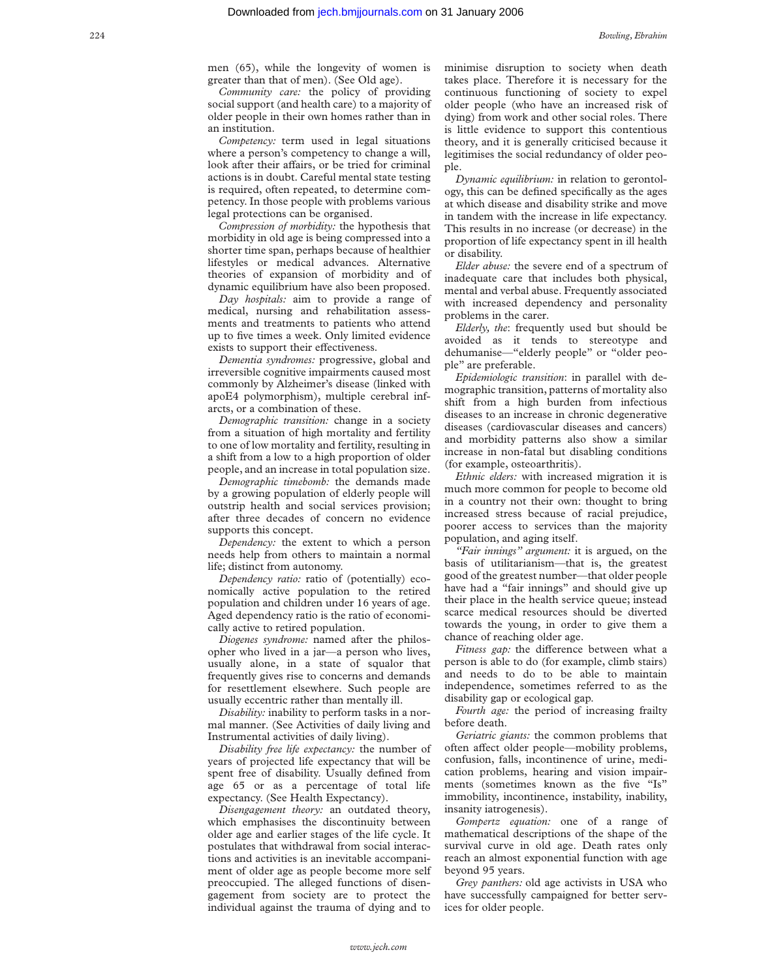men (65), while the longevity of women is greater than that of men). (See Old age).

*Community care:* the policy of providing social support (and health care) to a majority of older people in their own homes rather than in an institution.

*Competency:* term used in legal situations where a person's competency to change a will, look after their affairs, or be tried for criminal actions is in doubt. Careful mental state testing is required, often repeated, to determine competency. In those people with problems various legal protections can be organised.

*Compression of morbidity:* the hypothesis that morbidity in old age is being compressed into a shorter time span, perhaps because of healthier lifestyles or medical advances. Alternative theories of expansion of morbidity and of dynamic equilibrium have also been proposed.

*Day hospitals:* aim to provide a range of medical, nursing and rehabilitation assessments and treatments to patients who attend up to five times a week. Only limited evidence exists to support their effectiveness.

*Dementia syndromes:* progressive, global and irreversible cognitive impairments caused most commonly by Alzheimer's disease (linked with apoE4 polymorphism), multiple cerebral infarcts, or a combination of these.

*Demographic transition:* change in a society from a situation of high mortality and fertility to one of low mortality and fertility, resulting in a shift from a low to a high proportion of older people, and an increase in total population size.

*Demographic timebomb:* the demands made by a growing population of elderly people will outstrip health and social services provision; after three decades of concern no evidence supports this concept.

*Dependency:* the extent to which a person needs help from others to maintain a normal life; distinct from autonomy.

*Dependency ratio:* ratio of (potentially) economically active population to the retired population and children under 16 years of age. Aged dependency ratio is the ratio of economically active to retired population.

*Diogenes syndrome:* named after the philosopher who lived in a jar—a person who lives, usually alone, in a state of squalor that frequently gives rise to concerns and demands for resettlement elsewhere. Such people are usually eccentric rather than mentally ill.

*Disability:* inability to perform tasks in a normal manner. (See Activities of daily living and Instrumental activities of daily living).

*Disability free life expectancy:* the number of years of projected life expectancy that will be spent free of disability. Usually defined from age 65 or as a percentage of total life expectancy. (See Health Expectancy).

*Disengagement theory:* an outdated theory, which emphasises the discontinuity between older age and earlier stages of the life cycle. It postulates that withdrawal from social interactions and activities is an inevitable accompaniment of older age as people become more self preoccupied. The alleged functions of disengagement from society are to protect the individual against the trauma of dying and to

minimise disruption to society when death takes place. Therefore it is necessary for the continuous functioning of society to expel older people (who have an increased risk of dying) from work and other social roles. There is little evidence to support this contentious theory, and it is generally criticised because it legitimises the social redundancy of older people.

*Dynamic equilibrium:* in relation to gerontology, this can be defined specifically as the ages at which disease and disability strike and move in tandem with the increase in life expectancy. This results in no increase (or decrease) in the proportion of life expectancy spent in ill health or disability.

*Elder abuse:* the severe end of a spectrum of inadequate care that includes both physical, mental and verbal abuse. Frequently associated with increased dependency and personality problems in the carer.

*Elderly, the*: frequently used but should be avoided as it tends to stereotype and dehumanise—"elderly people" or "older people" are preferable.

*Epidemiologic transition*: in parallel with demographic transition, patterns of mortality also shift from a high burden from infectious diseases to an increase in chronic degenerative diseases (cardiovascular diseases and cancers) and morbidity patterns also show a similar increase in non-fatal but disabling conditions (for example, osteoarthritis).

*Ethnic elders:* with increased migration it is much more common for people to become old in a country not their own: thought to bring increased stress because of racial prejudice, poorer access to services than the majority population, and aging itself.

*"Fair innings" argument:* it is argued, on the basis of utilitarianism—that is, the greatest good of the greatest number—that older people have had a "fair innings" and should give up their place in the health service queue; instead scarce medical resources should be diverted towards the young, in order to give them a chance of reaching older age.

Fitness gap: the difference between what a person is able to do (for example, climb stairs) and needs to do to be able to maintain independence, sometimes referred to as the disability gap or ecological gap.

*Fourth age:* the period of increasing frailty before death.

*Geriatric giants:* the common problems that often affect older people—mobility problems, confusion, falls, incontinence of urine, medication problems, hearing and vision impairments (sometimes known as the five "Is" immobility, incontinence, instability, inability, insanity iatrogenesis).

*Gompertz equation:* one of a range of mathematical descriptions of the shape of the survival curve in old age. Death rates only reach an almost exponential function with age beyond 95 years.

*Grey panthers:* old age activists in USA who have successfully campaigned for better services for older people.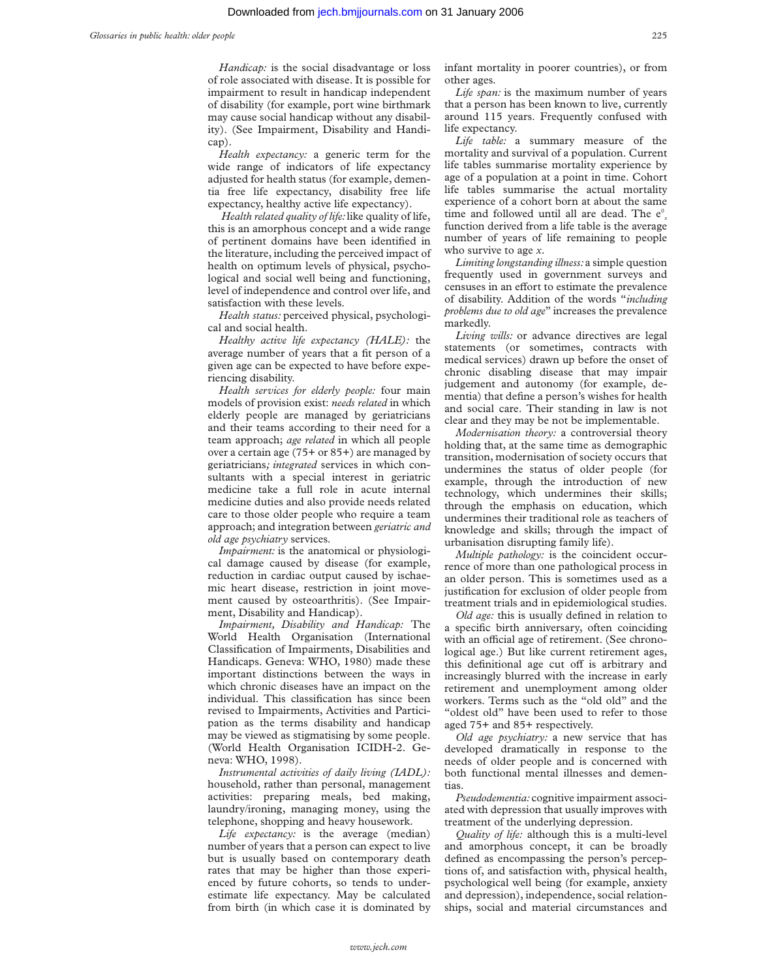*Handicap:* is the social disadvantage or loss of role associated with disease. It is possible for impairment to result in handicap independent of disability (for example, port wine birthmark may cause social handicap without any disability). (See Impairment, Disability and Handicap).

*Health expectancy:* a generic term for the wide range of indicators of life expectancy adjusted for health status (for example, dementia free life expectancy, disability free life expectancy, healthy active life expectancy).

*Health related quality of life:*like quality of life, this is an amorphous concept and a wide range of pertinent domains have been identified in the literature, including the perceived impact of health on optimum levels of physical, psychological and social well being and functioning, level of independence and control over life, and satisfaction with these levels.

*Health status:* perceived physical, psychological and social health.

*Healthy active life expectancy (HALE):* the average number of years that a fit person of a given age can be expected to have before experiencing disability.

*Health services for elderly people:* four main models of provision exist: *needs related* in which elderly people are managed by geriatricians and their teams according to their need for a team approach; *age related* in which all people over a certain age (75+ or 85+) are managed by geriatricians*; integrated* services in which consultants with a special interest in geriatric medicine take a full role in acute internal medicine duties and also provide needs related care to those older people who require a team approach; and integration between *geriatric and old age psychiatry* services.

*Impairment:* is the anatomical or physiological damage caused by disease (for example, reduction in cardiac output caused by ischaemic heart disease, restriction in joint movement caused by osteoarthritis). (See Impairment, Disability and Handicap).

*Impairment, Disability and Handicap:* The World Health Organisation (International Classification of Impairments, Disabilities and Handicaps. Geneva: WHO, 1980) made these important distinctions between the ways in which chronic diseases have an impact on the individual. This classification has since been revised to Impairments, Activities and Participation as the terms disability and handicap may be viewed as stigmatising by some people. (World Health Organisation ICIDH-2. Geneva: WHO, 1998).

*Instrumental activities of daily living (IADL):* household, rather than personal, management activities: preparing meals, bed making, laundry/ironing, managing money, using the telephone, shopping and heavy housework.

*Life expectancy:* is the average (median) number of years that a person can expect to live but is usually based on contemporary death rates that may be higher than those experienced by future cohorts, so tends to underestimate life expectancy. May be calculated from birth (in which case it is dominated by

infant mortality in poorer countries), or from other ages.

*Life span:* is the maximum number of years that a person has been known to live, currently around 115 years. Frequently confused with life expectancy.

*Life table:* a summary measure of the mortality and survival of a population. Current life tables summarise mortality experience by age of a population at a point in time. Cohort life tables summarise the actual mortality experience of a cohort born at about the same time and followed until all are dead. The  $e^{\circ}_{x}$ function derived from a life table is the average number of years of life remaining to people who survive to age *x*.

*Limiting longstanding illness:*a simple question frequently used in government surveys and censuses in an effort to estimate the prevalence of disability. Addition of the words "*including problems due to old age*" increases the prevalence markedly.

*Living wills:* or advance directives are legal statements (or sometimes, contracts with medical services) drawn up before the onset of chronic disabling disease that may impair judgement and autonomy (for example, dementia) that define a person's wishes for health and social care. Their standing in law is not clear and they may be not be implementable.

*Modernisation theory:* a controversial theory holding that, at the same time as demographic transition, modernisation of society occurs that undermines the status of older people (for example, through the introduction of new technology, which undermines their skills; through the emphasis on education, which undermines their traditional role as teachers of knowledge and skills; through the impact of urbanisation disrupting family life).

*Multiple pathology:* is the coincident occurrence of more than one pathological process in an older person. This is sometimes used as a justification for exclusion of older people from treatment trials and in epidemiological studies.

*Old age:* this is usually defined in relation to a specific birth anniversary, often coinciding with an official age of retirement. (See chronological age.) But like current retirement ages, this definitional age cut off is arbitrary and increasingly blurred with the increase in early retirement and unemployment among older workers. Terms such as the "old old" and the "oldest old" have been used to refer to those aged 75+ and 85+ respectively.

*Old age psychiatry:* a new service that has developed dramatically in response to the needs of older people and is concerned with both functional mental illnesses and dementias.

*Pseudodementia:*cognitive impairment associated with depression that usually improves with treatment of the underlying depression.

*Quality of life:* although this is a multi-level and amorphous concept, it can be broadly defined as encompassing the person's perceptions of, and satisfaction with, physical health, psychological well being (for example, anxiety and depression), independence, social relationships, social and material circumstances and